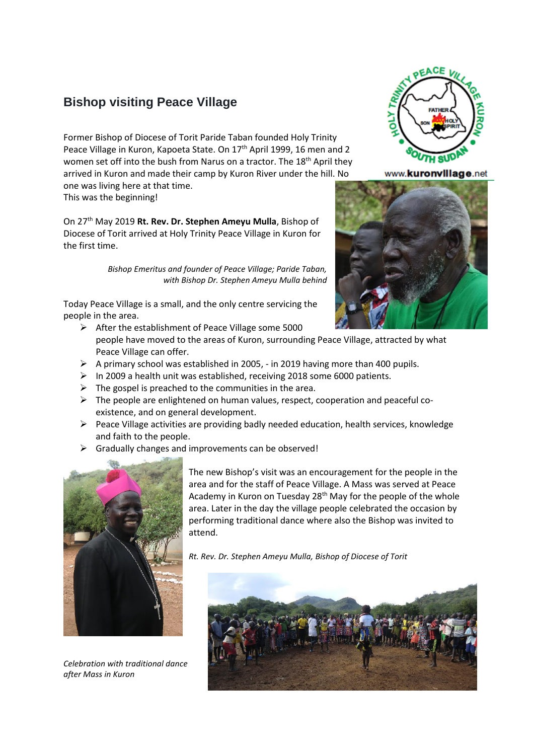## **Bishop visiting Peace Village**

Former Bishop of Diocese of Torit Paride Taban founded Holy Trinity Peace Village in Kuron, Kapoeta State. On 17<sup>th</sup> April 1999, 16 men and 2 women set off into the bush from Narus on a tractor. The 18<sup>th</sup> April they arrived in Kuron and made their camp by Kuron River under the hill. No

one was living here at that time. This was the beginning!

On 27th May 2019 **Rt. Rev. Dr. Stephen Ameyu Mulla**, Bishop of Diocese of Torit arrived at Holy Trinity Peace Village in Kuron for the first time.

> *Bishop Emeritus and founder of Peace Village; Paride Taban, with Bishop Dr. Stephen Ameyu Mulla behind*

Today Peace Village is a small, and the only centre servicing the people in the area.

- ➢ After the establishment of Peace Village some 5000 people have moved to the areas of Kuron, surrounding Peace Village, attracted by what Peace Village can offer.
- $\triangleright$  A primary school was established in 2005, in 2019 having more than 400 pupils.
- ➢ In 2009 a health unit was established, receiving 2018 some 6000 patients.
- $\triangleright$  The gospel is preached to the communities in the area.
- $\triangleright$  The people are enlightened on human values, respect, cooperation and peaceful coexistence, and on general development.
- $\triangleright$  Peace Village activities are providing badly needed education, health services, knowledge and faith to the people.
- ➢ Gradually changes and improvements can be observed!



*Celebration with traditional dance after Mass in Kuron*

The new Bishop's visit was an encouragement for the people in the area and for the staff of Peace Village. A Mass was served at Peace Academy in Kuron on Tuesday  $28<sup>th</sup>$  May for the people of the whole area. Later in the day the village people celebrated the occasion by performing traditional dance where also the Bishop was invited to attend.

*Rt. Rev. Dr. Stephen Ameyu Mulla, Bishop of Diocese of Torit*





www.kuronvillage.net